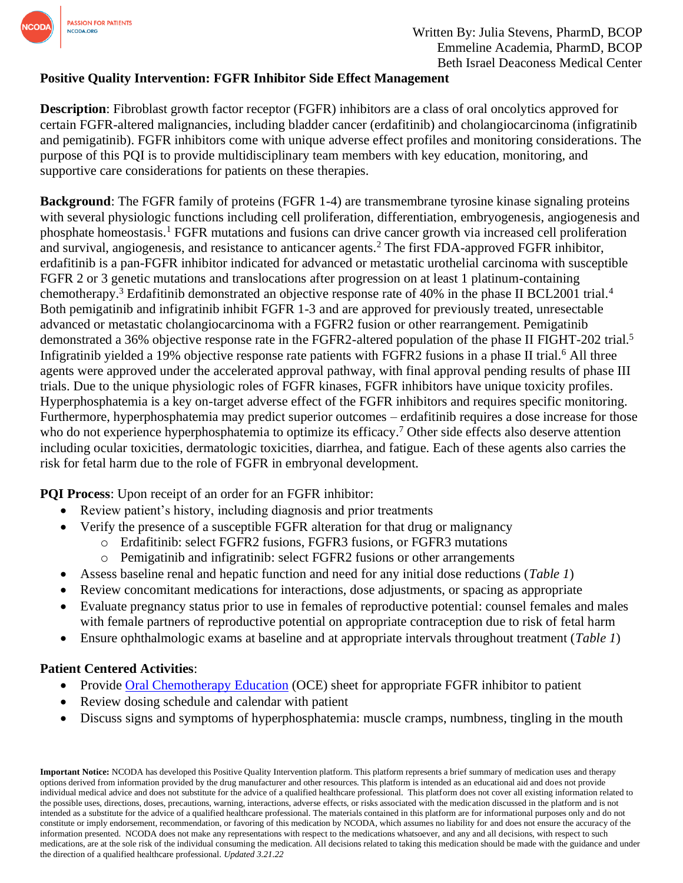

## **Positive Quality Intervention: FGFR Inhibitor Side Effect Management**

**Description**: Fibroblast growth factor receptor (FGFR) inhibitors are a class of oral oncolytics approved for certain FGFR-altered malignancies, including bladder cancer (erdafitinib) and cholangiocarcinoma (infigratinib and pemigatinib). FGFR inhibitors come with unique adverse effect profiles and monitoring considerations. The purpose of this PQI is to provide multidisciplinary team members with key education, monitoring, and supportive care considerations for patients on these therapies.

**Background:** The FGFR family of proteins (FGFR 1-4) are transmembrane tyrosine kinase signaling proteins with several physiologic functions including cell proliferation, differentiation, embryogenesis, angiogenesis and phosphate homeostasis.[1](https://www.zotero.org/google-docs/?MjxhKC) FGFR mutations and fusions can drive cancer growth via increased cell proliferation and survival, angiogenesis, and resistance to anticancer agents.<sup>[2](https://www.zotero.org/google-docs/?qFmxMM)</sup> The first FDA-approved FGFR inhibitor, erdafitinib is a pan-FGFR inhibitor indicated for advanced or metastatic urothelial carcinoma with susceptible FGFR 2 or 3 genetic mutations and translocations after progression on at least 1 platinum-containing chemotherapy.<sup>[3](https://www.zotero.org/google-docs/?ppBLoS)</sup> Erdafitinib demonstrated an objective response rate of [4](https://www.zotero.org/google-docs/?5LSF9i)0% in the phase II BCL2001 trial.<sup>4</sup> Both pemigatinib and infigratinib inhibit FGFR 1-3 and are approved for previously treated, unresectable advanced or metastatic cholangiocarcinoma with a FGFR2 fusion or other rearrangement. Pemigatinib demonstrated a 36% objective response rate in the FGFR2-altered population of the phase II FIGHT-202 trial.<sup>[5](https://www.zotero.org/google-docs/?CzktOf)</sup> Infigratinib yielded a 19% objective response rate patients with FGFR2 fusions in a phase II trial.<sup>[6](https://www.zotero.org/google-docs/?6jw3Cu)</sup> All three agents were approved under the accelerated approval pathway, with final approval pending results of phase III trials. Due to the unique physiologic roles of FGFR kinases, FGFR inhibitors have unique toxicity profiles. Hyperphosphatemia is a key on-target adverse effect of the FGFR inhibitors and requires specific monitoring. Furthermore, hyperphosphatemia may predict superior outcomes – erdafitinib requires a dose increase for those who do not experience hyperphosphatemia to optimize its efficacy.<sup>[7](https://www.zotero.org/google-docs/?9wKXsv)</sup> Other side effects also deserve attention including ocular toxicities, dermatologic toxicities, diarrhea, and fatigue. Each of these agents also carries the risk for fetal harm due to the role of FGFR in embryonal development.

**PQI Process**: Upon receipt of an order for an FGFR inhibitor:

- Review patient's history, including diagnosis and prior treatments
- Verify the presence of a susceptible FGFR alteration for that drug or malignancy
	- o Erdafitinib: select FGFR2 fusions, FGFR3 fusions, or FGFR3 mutations
		- o Pemigatinib and infigratinib: select FGFR2 fusions or other arrangements
- Assess baseline renal and hepatic function and need for any initial dose reductions (*Table 1*)
- Review concomitant medications for interactions, dose adjustments, or spacing as appropriate
- Evaluate pregnancy status prior to use in females of reproductive potential: counsel females and males with female partners of reproductive potential on appropriate contraception due to risk of fetal harm
- Ensure ophthalmologic exams at baseline and at appropriate intervals throughout treatment (*Table 1*)

## **Patient Centered Activities**:

- Provide Oral [Chemotherapy Education](https://www.oralchemoedsheets.com/index.php) (OCE) sheet for appropriate FGFR inhibitor to patient
- Review dosing schedule and calendar with patient
- Discuss signs and symptoms of hyperphosphatemia: muscle cramps, numbness, tingling in the mouth

**Important Notice:** NCODA has developed this Positive Quality Intervention platform. This platform represents a brief summary of medication uses and therapy options derived from information provided by the drug manufacturer and other resources. This platform is intended as an educational aid and does not provide individual medical advice and does not substitute for the advice of a qualified healthcare professional. This platform does not cover all existing information related to the possible uses, directions, doses, precautions, warning, interactions, adverse effects, or risks associated with the medication discussed in the platform and is not intended as a substitute for the advice of a qualified healthcare professional. The materials contained in this platform are for informational purposes only and do not constitute or imply endorsement, recommendation, or favoring of this medication by NCODA, which assumes no liability for and does not ensure the accuracy of the information presented. NCODA does not make any representations with respect to the medications whatsoever, and any and all decisions, with respect to such medications, are at the sole risk of the individual consuming the medication. All decisions related to taking this medication should be made with the guidance and under the direction of a qualified healthcare professional. *Updated 3.21.22*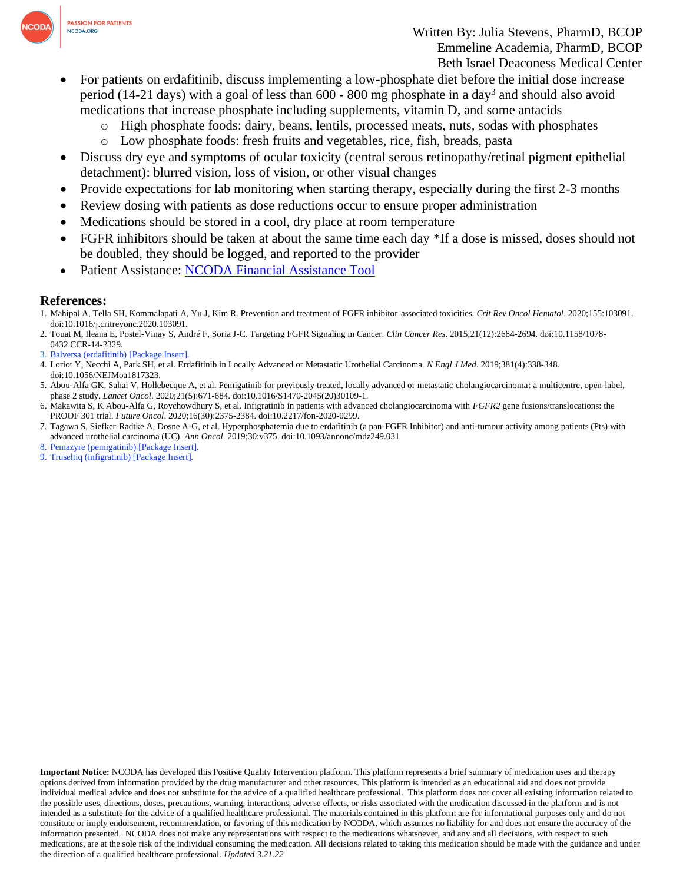

- For patients on erdafitinib, discuss implementing a low-phosphate diet before the initial dose increase period (14-21 days) with a goal of less than 600 - 800 mg phosphate in a day<sup>3</sup> and should also avoid medications that increase phosphate including supplements, vitamin D, and some antacids
	- o High phosphate foods: dairy, beans, lentils, processed meats, nuts, sodas with phosphates
	- o Low phosphate foods: fresh fruits and vegetables, rice, fish, breads, pasta
- Discuss dry eye and symptoms of ocular toxicity (central serous retinopathy/retinal pigment epithelial detachment): blurred vision, loss of vision, or other visual changes
- Provide expectations for lab monitoring when starting therapy, especially during the first 2-3 months
- Review dosing with patients as dose reductions occur to ensure proper administration
- Medications should be stored in a cool, dry place at room temperature
- FGFR inhibitors should be taken at about the same time each day \*If a dose is missed, doses should not be doubled, they should be logged, and reported to the provider
- Patient Assistance: [NCODA Financial Assistance Tool](https://www.ncoda.org/financial-assistance/)

## **References:**

- 1. Mahipal A, Tella SH, Kommalapati A, Yu J, Kim R. Prevention and treatment of FGFR inhibitor-associated toxicities. *Crit Rev Oncol Hematol*. 2020;155:103091. doi:10.1016/j.critrevonc.2020.103091.
- 2. Touat M, Ileana E, Postel-Vinay S, André F, Soria J-C. Targeting FGFR Signaling in Cancer. *Clin Cancer Res*. 2015;21(12):2684-2694. doi:10.1158/1078- 0432.CCR-14-2329.
- [3.](https://www.zotero.org/google-docs/?AevJoh) [Balversa \(erdafitinib\) \[Package Insert\].](https://www.accessdata.fda.gov/drugsatfda_docs/label/2019/212018s000lbl.pdf)
- 4. Loriot Y, Necchi A, Park SH, et al. Erdafitinib in Locally Advanced or Metastatic Urothelial Carcinoma. *N Engl J Med*. 2019;381(4):338-348. doi:10.1056/NEJMoa1817323.
- 5. Abou-Alfa GK, Sahai V, Hollebecque A, et al. Pemigatinib for previously treated, locally advanced or metastatic cholangiocarcinoma: a multicentre, open-label, phase 2 study. *Lancet Oncol*. 2020;21(5):671-684. doi:10.1016/S1470-2045(20)30109-1.
- 6. Makawita S, K Abou-Alfa G, Roychowdhury S, et al. Infigratinib in patients with advanced cholangiocarcinoma with *FGFR2* gene fusions/translocations: the PROOF 301 trial. *Future Oncol*. 2020;16(30):2375-2384. doi:10.2217/fon-2020-0299.
- 7. Tagawa S, Siefker-Radtke A, Dosne A-G, et al. Hyperphosphatemia due to erdafitinib (a pan-FGFR Inhibitor) and anti-tumour activity among patients (Pts) with advanced urothelial carcinoma (UC). *Ann Oncol*. 2019;30:v375. doi:10.1093/annonc/mdz249.031
- [8. P](https://www.zotero.org/google-docs/?AevJoh)emazyre (pemigatinib) [\[Package Insert\].](https://www.accessdata.fda.gov/drugsatfda_docs/label/2020/213736s000lbl.pdf)
- [9. T](https://www.zotero.org/google-docs/?AevJoh)ruseltiq (infigratinib) [\[Package Insert\].](https://www.accessdata.fda.gov/drugsatfda_docs/label/2021/214622s000lbl.pdf)

**Important Notice:** NCODA has developed this Positive Quality Intervention platform. This platform represents a brief summary of medication uses and therapy options derived from information provided by the drug manufacturer and other resources. This platform is intended as an educational aid and does not provide individual medical advice and does not substitute for the advice of a qualified healthcare professional. This platform does not cover all existing information related to the possible uses, directions, doses, precautions, warning, interactions, adverse effects, or risks associated with the medication discussed in the platform and is not intended as a substitute for the advice of a qualified healthcare professional. The materials contained in this platform are for informational purposes only and do not constitute or imply endorsement, recommendation, or favoring of this medication by NCODA, which assumes no liability for and does not ensure the accuracy of the information presented. NCODA does not make any representations with respect to the medications whatsoever, and any and all decisions, with respect to such medications, are at the sole risk of the individual consuming the medication. All decisions related to taking this medication should be made with the guidance and under the direction of a qualified healthcare professional. *Updated 3.21.22*